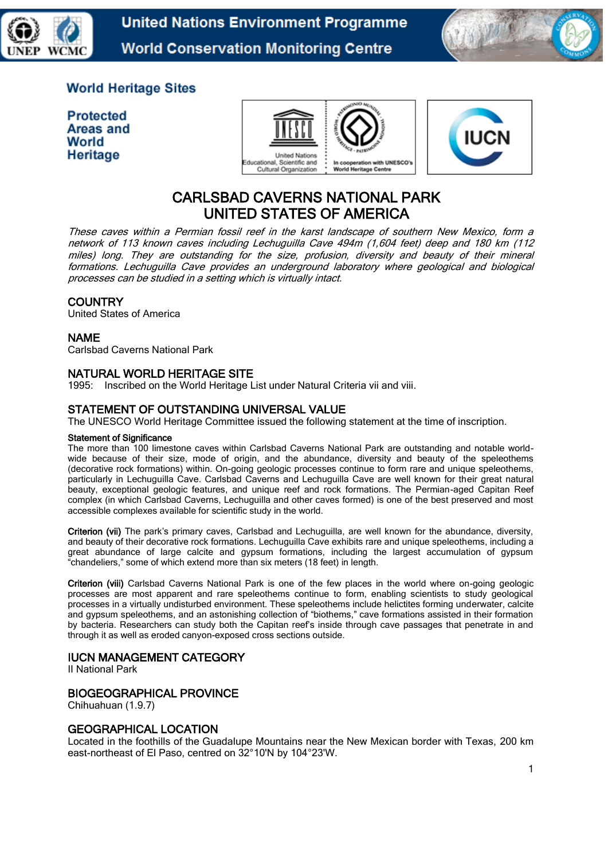



# **World Heritage Sites**

**Protected Areas and** World Heritage





# CARLSBAD CAVERNS NATIONAL PARK UNITED STATES OF AMERICA

These caves within a Permian fossil reef in the karst landscape of southern New Mexico, form a network of 113 known caves including Lechuguilla Cave 494m (1,604 feet) deep and 180 km (112 miles) long. They are outstanding for the size, profusion, diversity and beauty of their mineral formations. Lechuguilla Cave provides an underground laboratory where geological and biological processes can be studied in a setting which is virtually intact.

# **COUNTRY**

United States of America

#### NAME

Carlsbad Caverns National Park

## NATURAL WORLD HERITAGE SITE

1995: Inscribed on the World Heritage List under Natural Criteria vii and viii.

## STATEMENT OF OUTSTANDING UNIVERSAL VALUE

The UNESCO World Heritage Committee issued the following statement at the time of inscription.

#### Statement of Significance

The more than 100 limestone caves within Carlsbad Caverns National Park are outstanding and notable worldwide because of their size, mode of origin, and the abundance, diversity and beauty of the speleothems (decorative rock formations) within. On-going geologic processes continue to form rare and unique speleothems, particularly in Lechuguilla Cave. Carlsbad Caverns and Lechuguilla Cave are well known for their great natural beauty, exceptional geologic features, and unique reef and rock formations. The Permian-aged Capitan Reef complex (in which Carlsbad Caverns, Lechuguilla and other caves formed) is one of the best preserved and most accessible complexes available for scientific study in the world.

Criterion (vii) The park's primary caves, Carlsbad and Lechuguilla, are well known for the abundance, diversity, and beauty of their decorative rock formations. Lechuguilla Cave exhibits rare and unique speleothems, including a great abundance of large calcite and gypsum formations, including the largest accumulation of gypsum "chandeliers," some of which extend more than six meters (18 feet) in length.

Criterion (viii) Carlsbad Caverns National Park is one of the few places in the world where on-going geologic processes are most apparent and rare speleothems continue to form, enabling scientists to study geological processes in a virtually undisturbed environment. These speleothems include helictites forming underwater, calcite and gypsum speleothems, and an astonishing collection of "biothems," cave formations assisted in their formation by bacteria. Researchers can study both the Capitan reef's inside through cave passages that penetrate in and through it as well as eroded canyon-exposed cross sections outside.

#### IUCN MANAGEMENT CATEGORY

II National Park

#### BIOGEOGRAPHICAL PROVINCE

Chihuahuan (1.9.7)

#### GEOGRAPHICAL LOCATION

Located in the foothills of the Guadalupe Mountains near the New Mexican border with Texas, 200 km east-northeast of El Paso, centred on 32°10'N by 104°23'W.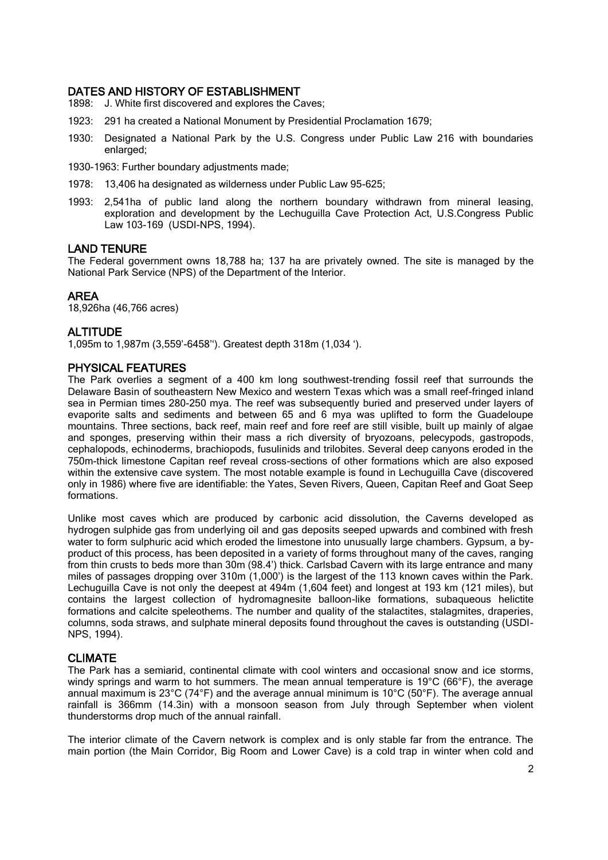## DATES AND HISTORY OF ESTABLISHMENT

- 1898: J. White first discovered and explores the Caves;
- 1923: 291 ha created a National Monument by Presidential Proclamation 1679;
- 1930: Designated a National Park by the U.S. Congress under Public Law 216 with boundaries enlarged;
- 1930-1963: Further boundary adjustments made;
- 1978: 13,406 ha designated as wilderness under Public Law 95-625;
- 1993: 2,541ha of public land along the northern boundary withdrawn from mineral leasing, exploration and development by the Lechuguilla Cave Protection Act, U.S.Congress Public Law 103-169 (USDI-NPS, 1994).

#### LAND TENURE

The Federal government owns 18,788 ha; 137 ha are privately owned. The site is managed by the National Park Service (NPS) of the Department of the Interior.

#### AREA

18,926ha (46,766 acres)

# **ALTITUDE**

1,095m to 1,987m (3,559'-6458''). Greatest depth 318m (1,034 ').

#### PHYSICAL FEATURES

The Park overlies a segment of a 400 km long southwest-trending fossil reef that surrounds the Delaware Basin of southeastern New Mexico and western Texas which was a small reef-fringed inland sea in Permian times 280-250 mya. The reef was subsequently buried and preserved under layers of evaporite salts and sediments and between 65 and 6 mya was uplifted to form the Guadeloupe mountains. Three sections, back reef, main reef and fore reef are still visible, built up mainly of algae and sponges, preserving within their mass a rich diversity of bryozoans, pelecypods, gastropods, cephalopods, echinoderms, brachiopods, fusulinids and trilobites. Several deep canyons eroded in the 750m-thick limestone Capitan reef reveal cross-sections of other formations which are also exposed within the extensive cave system. The most notable example is found in Lechuguilla Cave (discovered only in 1986) where five are identifiable: the Yates, Seven Rivers, Queen, Capitan Reef and Goat Seep formations.

Unlike most caves which are produced by carbonic acid dissolution, the Caverns developed as hydrogen sulphide gas from underlying oil and gas deposits seeped upwards and combined with fresh water to form sulphuric acid which eroded the limestone into unusually large chambers. Gypsum, a byproduct of this process, has been deposited in a variety of forms throughout many of the caves, ranging from thin crusts to beds more than 30m (98.4') thick. Carlsbad Cavern with its large entrance and many miles of passages dropping over 310m (1,000') is the largest of the 113 known caves within the Park. Lechuguilla Cave is not only the deepest at 494m (1,604 feet) and longest at 193 km (121 miles), but contains the largest collection of hydromagnesite balloon-like formations, subaqueous helictite formations and calcite speleothems. The number and quality of the stalactites, stalagmites, draperies, columns, soda straws, and sulphate mineral deposits found throughout the caves is outstanding (USDI-NPS, 1994).

#### CLIMATE

The Park has a semiarid, continental climate with cool winters and occasional snow and ice storms, windy springs and warm to hot summers. The mean annual temperature is 19°C (66°F), the average annual maximum is 23 $^{\circ}$ C (74 $^{\circ}$ F) and the average annual minimum is 10 $^{\circ}$ C (50 $^{\circ}$ F). The average annual rainfall is 366mm (14.3in) with a monsoon season from July through September when violent thunderstorms drop much of the annual rainfall.

The interior climate of the Cavern network is complex and is only stable far from the entrance. The main portion (the Main Corridor, Big Room and Lower Cave) is a cold trap in winter when cold and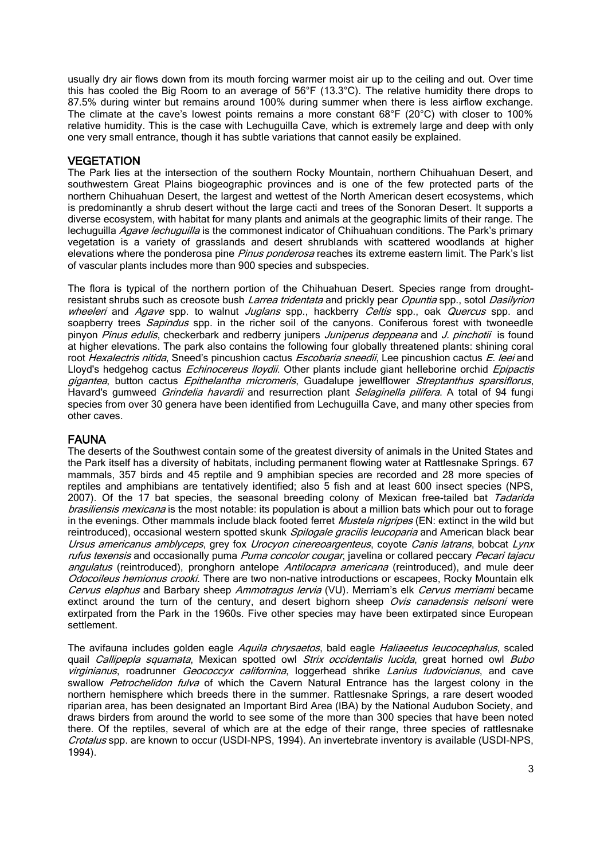usually dry air flows down from its mouth forcing warmer moist air up to the ceiling and out. Over time this has cooled the Big Room to an average of 56°F (13.3°C). The relative humidity there drops to 87.5% during winter but remains around 100% during summer when there is less airflow exchange. The climate at the cave's lowest points remains a more constant 68°F (20°C) with closer to 100% relative humidity. This is the case with Lechuguilla Cave, which is extremely large and deep with only one very small entrance, though it has subtle variations that cannot easily be explained.

## **VEGETATION**

The Park lies at the intersection of the southern Rocky Mountain, northern Chihuahuan Desert, and southwestern Great Plains biogeographic provinces and is one of the few protected parts of the northern Chihuahuan Desert, the largest and wettest of the North American desert ecosystems, which is predominantly a shrub desert without the large cacti and trees of the Sonoran Desert. It supports a diverse ecosystem, with habitat for many plants and animals at the geographic limits of their range. The lechuguilla Agave lechuguilla is the commonest indicator of Chihuahuan conditions. The Park's primary vegetation is a variety of grasslands and desert shrublands with scattered woodlands at higher elevations where the ponderosa pine Pinus ponderosa reaches its extreme eastern limit. The Park's list of vascular plants includes more than 900 species and subspecies.

The flora is typical of the northern portion of the Chihuahuan Desert. Species range from droughtresistant shrubs such as creosote bush *Larrea tridentata* and prickly pear *Opuntia* spp., sotol Dasilyrion wheeleri and Agave spp. to walnut Juglans spp., hackberry Celtis spp., oak Quercus spp. and soapberry trees Sapindus spp. in the richer soil of the canyons. Coniferous forest with twoneedle pinyon Pinus edulis, checkerbark and redberry junipers Juniperus deppeana and J. pinchotii is found at higher elevations. The park also contains the following four globally threatened plants: shining coral root Hexalectris nitida, Sneed's pincushion cactus Escobaria sneedii, Lee pincushion cactus E. leei and Lloyd's hedgehog cactus *Echinocereus lloydii*. Other plants include giant helleborine orchid *Epipactis* gigantea, button cactus Epithelantha micromeris, Guadalupe jewelflower Streptanthus sparsiflorus, Havard's gumweed *Grindelia havardii* and resurrection plant *Selaginella pilifera*. A total of 94 fungi species from over 30 genera have been identified from Lechuguilla Cave, and many other species from other caves.

# FAUNA

The deserts of the Southwest contain some of the greatest diversity of animals in the United States and the Park itself has a diversity of habitats, including permanent flowing water at Rattlesnake Springs. 67 mammals, 357 birds and 45 reptile and 9 amphibian species are recorded and 28 more species of reptiles and amphibians are tentatively identified; also 5 fish and at least 600 insect species (NPS, 2007). Of the 17 bat species, the seasonal breeding colony of Mexican free-tailed bat Tadarida [brasiliensis](http://quin.unep-wcmc.org/isdb/Taxonomy/tax-gs-search2.cfm?GenName=Tadarida&SpcName=brasiliensis) mexicana is the most notable: its population is about a million bats which pour out to forage in the evenings. Other mammals include black footed ferret *Mustela nigripes* (EN: extinct in the wild but reintroduced), occasional western spotted skunk *Spilogale gracilis leucoparia* and American black bear Ursus americanus amblyceps, grey fox [Urocyon cinereoargenteus](http://quin.unep-wcmc.org/isdb/Taxonomy/tax-gs-search2.cfm?GenName=Urocyon&SpcName=cinereoargenteus), coyote [Canis latrans](http://quin.unep-wcmc.org/isdb/Taxonomy/tax-gs-search2.cfm?GenName=Canis&SpcName=latrans), bobcat Lynx rufus texensis and occasionally puma Puma [concolor](http://quin.unep-wcmc.org/isdb/Taxonomy/tax-gs-search2.cfm?GenName=Felis&SpcName=concolor) cougar, javelina or collared peccary Pecari tajacu angulatus (reintroduced), pronghorn antelope Antilocapra americana (reintroduced), and mule deer [Odocoileus hemionus](http://quin.unep-wcmc.org/isdb/Taxonomy/tax-gs-search2.cfm?GenName=Odocoileus&SpcName=hemionus) crooki. There are two non-native introductions or escapees, Rocky Mountain elk Cervus elaphus and Barbary sheep Ammotragus lervia (VU). Merriam's elk Cervus merriami became extinct around the turn of the century, and desert bighorn sheep Ovis canadensis nelsoni were extirpated from the Park in the 1960s. Five other species may have been extirpated since European settlement.

The avifauna includes golden eagle [Aquila chrysaetos](http://quin.unep-wcmc.org/isdb/Taxonomy/tax-gs-search2.cfm?GenName=Aquila&SpcName=chrysaetos), bald eagle [Haliaeetus leucocephalus](http://quin.unep-wcmc.org/isdb/Taxonomy/tax-gs-search2.cfm?GenName=Haliaeetus&SpcName=leucocephalus), scaled quail [Callipepla squamata](http://quin.unep-wcmc.org/isdb/Taxonomy/tax-gs-search2.cfm?GenName=Callipepla&SpcName=squamata), Mexican spotted owl Strix occidentalis lucida, great horned owl Bubo [virginianus](http://quin.unep-wcmc.org/isdb/Taxonomy/tax-gs-search2.cfm?GenName=Bubo&SpcName=virginianus), roadrunner [Geococcyx californina](http://quin.unep-wcmc.org/isdb/Taxonomy/tax-gs-search2.cfm?GenName=Geococcyx&SpcName=californina), loggerhead shrike [Lanius ludovicianus](http://quin.unep-wcmc.org/isdb/Taxonomy/tax-gs-search2.cfm?GenName=Lanius&SpcName=ludovicianus), and cave swallow Petrochelidon fulva of which the Cavern Natural Entrance has the largest colony in the northern hemisphere which breeds there in the summer. Rattlesnake Springs, a rare desert wooded riparian area, has been designated an Important Bird Area (IBA) by the National Audubon Society, and draws birders from around the world to see some of the more than 300 species that have been noted there. Of the reptiles, several of which are at the edge of their range, three species of rattlesnake Crotalus spp. are known to occur (USDI-NPS, 1994). An invertebrate inventory is available (USDI-NPS, 1994).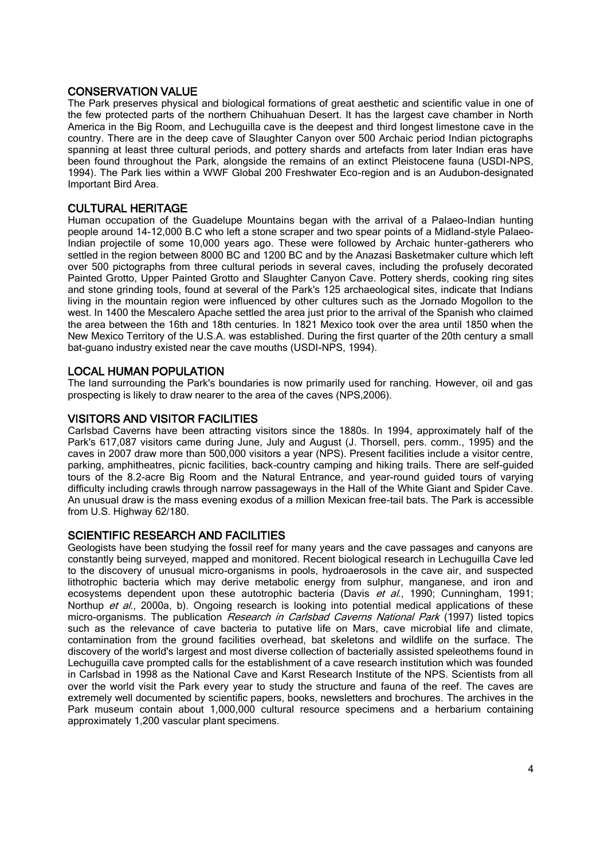# CONSERVATION VALUE

The Park preserves physical and biological formations of great aesthetic and scientific value in one of the few protected parts of the northern Chihuahuan Desert. It has the largest cave chamber in North America in the Big Room, and Lechuguilla cave is the deepest and third longest limestone cave in the country. There are in the deep cave of Slaughter Canyon over 500 Archaic period Indian pictographs spanning at least three cultural periods, and pottery shards and artefacts from later Indian eras have been found throughout the Park, alongside the remains of an extinct Pleistocene fauna (USDI-NPS, 1994). The Park lies within a WWF Global 200 Freshwater Eco-region and is an Audubon-designated Important Bird Area.

# CULTURAL HERITAGE

Human occupation of the Guadelupe Mountains began with the arrival of a Palaeo-Indian hunting people around 14-12,000 B.C who left a stone scraper and two spear points of a Midland-style Palaeo-Indian projectile of some 10,000 years ago. These were followed by Archaic hunter-gatherers who settled in the region between 8000 BC and 1200 BC and by the Anazasi Basketmaker culture which left over 500 pictographs from three cultural periods in several caves, including the profusely decorated Painted Grotto, Upper Painted Grotto and Slaughter Canyon Cave. Pottery sherds, cooking ring sites and stone grinding tools, found at several of the Park's 125 archaeological sites, indicate that Indians living in the mountain region were influenced by other cultures such as the Jornado Mogollon to the west. In 1400 the Mescalero Apache settled the area just prior to the arrival of the Spanish who claimed the area between the 16th and 18th centuries. In 1821 Mexico took over the area until 1850 when the New Mexico Territory of the U.S.A. was established. During the first quarter of the 20th century a small bat-guano industry existed near the cave mouths (USDI-NPS, 1994).

# LOCAL HUMAN POPULATION

The land surrounding the Park's boundaries is now primarily used for ranching. However, oil and gas prospecting is likely to draw nearer to the area of the caves (NPS,2006).

## VISITORS AND VISITOR FACILITIES

Carlsbad Caverns have been attracting visitors since the 1880s. In 1994, approximately half of the Park's 617,087 visitors came during June, July and August (J. Thorsell, pers. comm., 1995) and the caves in 2007 draw more than 500,000 visitors a year (NPS). Present facilities include a visitor centre, parking, amphitheatres, picnic facilities, back-country camping and hiking trails. There are self-guided tours of the 8.2-acre Big Room and the Natural Entrance, and year-round guided tours of varying difficulty including crawls through narrow passageways in the Hall of the White Giant and Spider Cave. An unusual draw is the mass evening exodus of a million Mexican free-tail bats. The Park is accessible from U.S. Highway 62/180.

#### SCIENTIFIC RESEARCH AND FACILITIES

Geologists have been studying the fossil reef for many years and the cave passages and canyons are constantly being surveyed, mapped and monitored. Recent biological research in Lechuguilla Cave led to the discovery of unusual micro-organisms in pools, hydroaerosols in the cave air, and suspected lithotrophic bacteria which may derive metabolic energy from sulphur, manganese, and iron and ecosystems dependent upon these autotrophic bacteria (Davis et al., 1990; Cunningham, 1991; Northup et al., 2000a, b). Ongoing research is looking into potential medical applications of these micro-organisms. The publication Research in Carlsbad Caverns National Park (1997) listed topics such as the relevance of cave bacteria to putative life on Mars, cave microbial life and climate, contamination from the ground facilities overhead, bat skeletons and wildlife on the surface. The discovery of the world's largest and most diverse collection of bacterially assisted speleothems found in Lechuguilla cave prompted calls for the establishment of a cave research institution which was founded in Carlsbad in 1998 as the National Cave and Karst Research Institute of the NPS. Scientists from all over the world visit the Park every year to study the structure and fauna of the reef. The caves are extremely well documented by scientific papers, books, newsletters and brochures. The archives in the Park museum contain about 1,000,000 cultural resource specimens and a herbarium containing approximately 1,200 vascular plant specimens.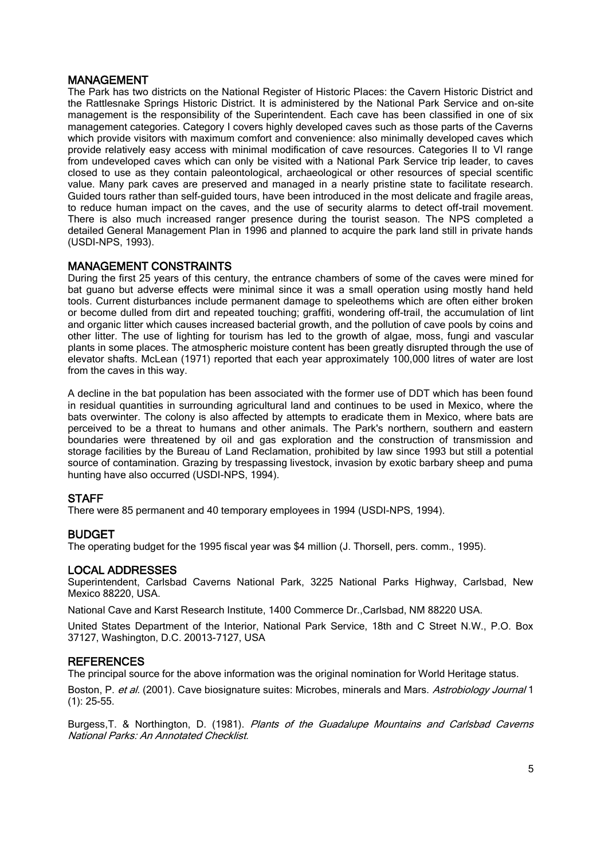## MANAGEMENT

The Park has two districts on the National Register of Historic Places: the Cavern Historic District and the Rattlesnake Springs Historic District. It is administered by the National Park Service and on-site management is the responsibility of the Superintendent. Each cave has been classified in one of six management categories. Category I covers highly developed caves such as those parts of the Caverns which provide visitors with maximum comfort and convenience: also minimally developed caves which provide relatively easy access with minimal modification of cave resources. Categories II to VI range from undeveloped caves which can only be visited with a National Park Service trip leader, to caves closed to use as they contain paleontological, archaeological or other resources of special scentific value. Many park caves are preserved and managed in a nearly pristine state to facilitate research. Guided tours rather than self-guided tours, have been introduced in the most delicate and fragile areas, to reduce human impact on the caves, and the use of security alarms to detect off-trail movement. There is also much increased ranger presence during the tourist season. The NPS completed a detailed General Management Plan in 1996 and planned to acquire the park land still in private hands (USDI-NPS, 1993).

# MANAGEMENT CONSTRAINTS

During the first 25 years of this century, the entrance chambers of some of the caves were mined for bat guano but adverse effects were minimal since it was a small operation using mostly hand held tools. Current disturbances include permanent damage to speleothems which are often either broken or become dulled from dirt and repeated touching; graffiti, wondering off-trail, the accumulation of lint and organic litter which causes increased bacterial growth, and the pollution of cave pools by coins and other litter. The use of lighting for tourism has led to the growth of algae, moss, fungi and vascular plants in some places. The atmospheric moisture content has been greatly disrupted through the use of elevator shafts. McLean (1971) reported that each year approximately 100,000 litres of water are lost from the caves in this way.

A decline in the bat population has been associated with the former use of DDT which has been found in residual quantities in surrounding agricultural land and continues to be used in Mexico, where the bats overwinter. The colony is also affected by attempts to eradicate them in Mexico, where bats are perceived to be a threat to humans and other animals. The Park's northern, southern and eastern boundaries were threatened by oil and gas exploration and the construction of transmission and storage facilities by the Bureau of Land Reclamation, prohibited by law since 1993 but still a potential source of contamination. Grazing by trespassing livestock, invasion by exotic barbary sheep and puma hunting have also occurred (USDI-NPS, 1994).

#### **STAFF**

There were 85 permanent and 40 temporary employees in 1994 (USDI-NPS, 1994).

# BUDGET

The operating budget for the 1995 fiscal year was \$4 million (J. Thorsell, pers. comm., 1995).

# LOCAL ADDRESSES

Superintendent, Carlsbad Caverns National Park, 3225 National Parks Highway, Carlsbad, New Mexico 88220, USA.

National Cave and Karst Research Institute, 1400 Commerce Dr.,Carlsbad, NM 88220 USA.

United States Department of the Interior, National Park Service, 18th and C Street N.W., P.O. Box 37127, Washington, D.C. 20013-7127, USA

#### **REFERENCES**

The principal source for the above information was the original nomination for World Heritage status.

Boston, P. et al. (2001). Cave biosignature suites: Microbes, minerals and Mars. Astrobiology Journal 1 (1): 25-55.

Burgess, T. & Northington, D. (1981). Plants of the Guadalupe Mountains and Carlsbad Caverns National Parks: An Annotated Checklist.